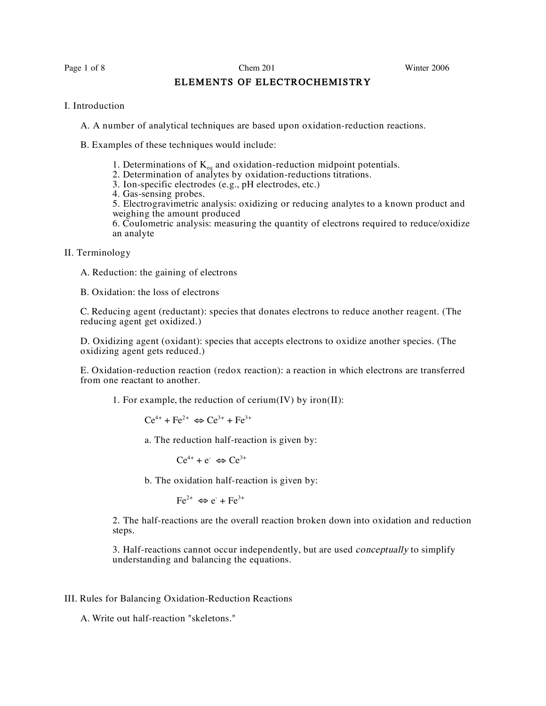# ELEMENTS OF ELECTROCHEMISTRY

#### I. Introduction

A. A number of analytical techniques are based upon oxidation-reduction reactions.

- B. Examples of these techniques would include:
	- 1. Determinations of  $K_{eq}$  and oxidation-reduction midpoint potentials.
	- 2. Determination of analytes by oxidation-reductions titrations.
	- 3. Ion-specific electrodes (e.g., pH electrodes, etc.)
	- 4. Gas-sensing probes.

5. Electrogravimetric analysis: oxidizing or reducing analytes to a known product and weighing the amount produced

6. Coulometric analysis: measuring the quantity of electrons required to reduce/oxidize an analyte

## II. Terminology

A. Reduction: the gaining of electrons

B. Oxidation: the loss of electrons

C. Reducing agent (reductant): species that donates electrons to reduce another reagent. (The reducing agent get oxidized.)

D. Oxidizing agent (oxidant): species that accepts electrons to oxidize another species. (The oxidizing agent gets reduced.)

E. Oxidation-reduction reaction (redox reaction): a reaction in which electrons are transferred from one reactant to another.

1. For example, the reduction of cerium $(IV)$  by iron $(II)$ :

 $Ce^{4+} + Fe^{2+} \Leftrightarrow Ce^{3+} + Fe^{3+}$ 

a. The reduction half-reaction is given by:

 $Ce^{4+} + e^- \Leftrightarrow Ce^{3+}$ 

b. The oxidation half-reaction is given by:

$$
\text{Fe}^{2+} \Leftrightarrow e^{\cdot} + \text{Fe}^{3+}
$$

2. The half-reactions are the overall reaction broken down into oxidation and reduction steps.

3. Half-reactions cannot occur independently, but are used *conceptually* to simplify understanding and balancing the equations.

### III. Rules for Balancing Oxidation-Reduction Reactions

A. Write out half-reaction "skeletons."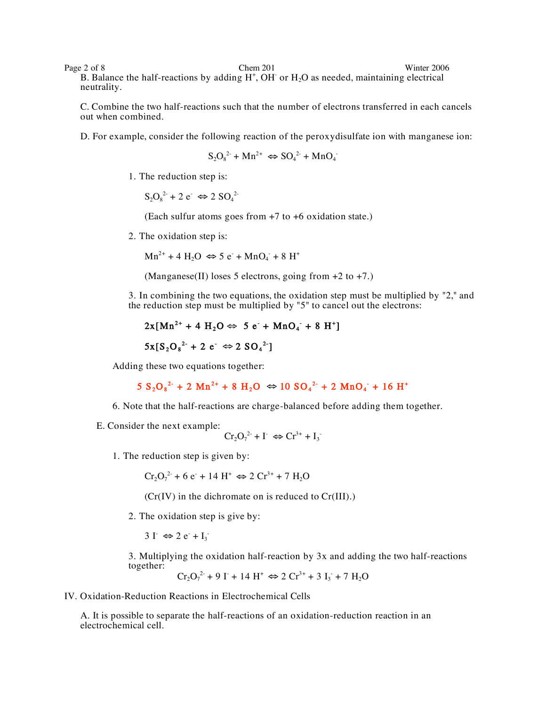Page 2 of 8 Chem 201 Chem 201 Winter 2006 B. Balance the half-reactions by adding  $H^+$ , OH or  $H_2O$  as needed, maintaining electrical neutrality.

C. Combine the two half-reactions such that the number of electrons transferred in each cancels out when combined.

D. For example, consider the following reaction of the peroxydisulfate ion with manganese ion:

$$
S_2O_8^{2}
$$
 + Mn<sup>2+</sup>  $\Leftrightarrow$  SO<sub>4</sub><sup>2-</sup> + MnO<sub>4</sub>

1. The reduction step is:

 $S_2O_8^{2-} + 2 e^- \Leftrightarrow 2 SO_4^{2-}$ 

(Each sulfur atoms goes from +7 to +6 oxidation state.)

2. The oxidation step is:

 $Mn^{2+} + 4 H_2O \Leftrightarrow 5 e^+ + MnO_4 + 8 H^+$ 

(Manganese(II) loses 5 electrons, going from  $+2$  to  $+7$ .)

3. In combining the two equations, the oxidation step must be multiplied by "2," and the reduction step must be multiplied by "5" to cancel out the electrons:

$$
2x[Mn^{2+} + 4 H_2O \Leftrightarrow 5 e + MnO_4 + 8 H^+]
$$
  

$$
5x[S_2O_8^{2+} + 2 e^- \Leftrightarrow 2 SO_4^{2-}]
$$

Adding these two equations together:

$$
5 S_2O_8^{2}
$$
 + 2 Mn<sup>2+</sup> + 8 H<sub>2</sub>O  $\Leftrightarrow$  10 SO<sub>4</sub><sup>2+</sup> + 2 MnO<sub>4</sub><sup>-</sup> + 16 H<sup>+</sup>

- 6. Note that the half-reactions are charge-balanced before adding them together.
- E. Consider the next example:

$$
Cr_2O_7^{2-} + I^- \Leftrightarrow Cr^{3+} + I_3^-
$$

1. The reduction step is given by:

 $Cr_2O_7^{2}$  + 6 e + 14 H<sup>+</sup>  $\Leftrightarrow$  2 Cr<sup>3+</sup> + 7 H<sub>2</sub>O

 $(Cr(IV))$  in the dichromate on is reduced to  $Cr(III)$ .)

2. The oxidation step is give by:

 $3 \text{ I}^{\text{-}} \Leftrightarrow 2 \text{ e}^{\text{-}} + \text{I}_3^{\text{-}}$ 

3. Multiplying the oxidation half-reaction by 3x and adding the two half-reactions together:

$$
Cr_2O_7^{2+}9 I + 14 H^+ \Leftrightarrow 2 Cr^{3+} + 3 I_3 + 7 H_2O
$$

IV. Oxidation-Reduction Reactions in Electrochemical Cells

A. It is possible to separate the half-reactions of an oxidation-reduction reaction in an electrochemical cell.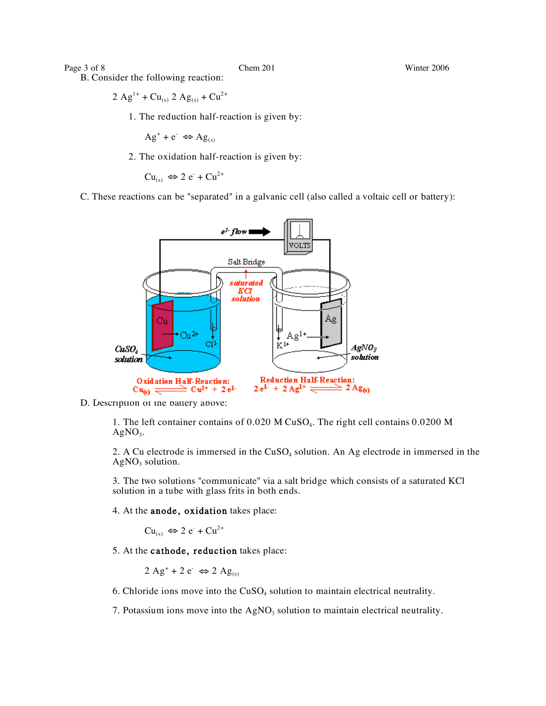Page 3 of 8 Chem 201 Chem 201 Winter 2006

B. Consider the following reaction:

 $2 Ag^{1+} + Cu_{(s)} 2 Ag_{(s)} + Cu^{2+}$ 

1. The reduction half-reaction is given by:

 $Ag^+ + e^- \Leftrightarrow Ag_{(s)}$ 

2. The oxidation half-reaction is given by:

 $Cu_{(s)} \Leftrightarrow 2 e^- + Cu^{2+}$ 

C. These reactions can be "separated" in a galvanic cell (also called a voltaic cell or battery):



D. Description of the battery above:

1. The left container contains of 0.020 M CuSO4. The right cell contains 0.0200 M  $AgNO<sub>3</sub>$ .

2. A Cu electrode is immersed in the  $CuSO<sub>4</sub>$  solution. An Ag electrode in immersed in the  $AgNO<sub>3</sub>$  solution.

3. The two solutions "communicate" via a salt bridge which consists of a saturated KCl solution in a tube with glass frits in both ends.

4. At the anode, oxidation takes place:

 $Cu_{(s)} \Leftrightarrow 2 e^- + Cu^{2+}$ 

5. At the cathode, reduction takes place:

 $2 \text{ Ag}^+ + 2 \text{ e}^- \Leftrightarrow 2 \text{ Ag}_{(s)}$ 

6. Chloride ions move into the  $CuSO<sub>4</sub>$  solution to maintain electrical neutrality.

7. Potassium ions move into the  $AgNO<sub>3</sub>$  solution to maintain electrical neutrality.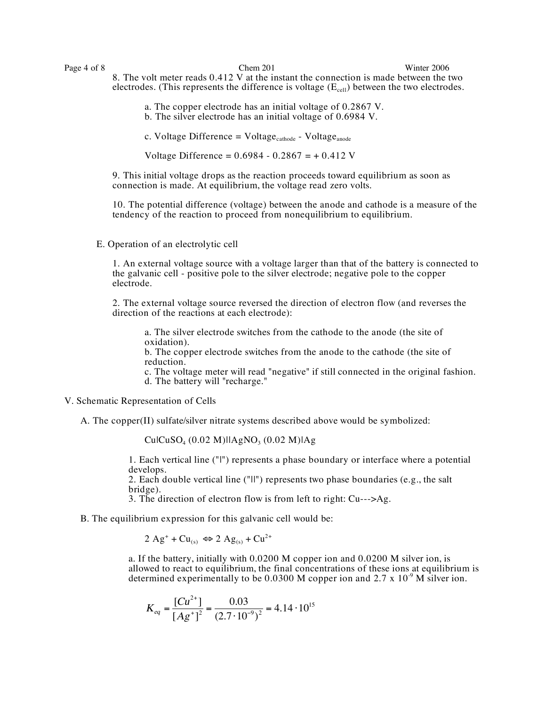Page 4 of 8 Chem 201 Chem 201 Winter 2006 8. The volt meter reads 0.412 V at the instant the connection is made between the two electrodes. (This represents the difference is voltage  $(E_{cell})$  between the two electrodes.

> a. The copper electrode has an initial voltage of 0.2867 V. b. The silver electrode has an initial voltage of 0.6984 V.

c. Voltage Difference = Voltage<sub>cathode</sub> - Voltage<sub>anode</sub>

Voltage Difference =  $0.6984 - 0.2867 = +0.412$  V

9. This initial voltage drops as the reaction proceeds toward equilibrium as soon as connection is made. At equilibrium, the voltage read zero volts.

10. The potential difference (voltage) between the anode and cathode is a measure of the tendency of the reaction to proceed from nonequilibrium to equilibrium.

E. Operation of an electrolytic cell

1. An external voltage source with a voltage larger than that of the battery is connected to the galvanic cell - positive pole to the silver electrode; negative pole to the copper electrode.

2. The external voltage source reversed the direction of electron flow (and reverses the direction of the reactions at each electrode):

a. The silver electrode switches from the cathode to the anode (the site of oxidation).

b. The copper electrode switches from the anode to the cathode (the site of reduction.

c. The voltage meter will read "negative" if still connected in the original fashion. d. The battery will "recharge."

V. Schematic Representation of Cells

A. The copper(II) sulfate/silver nitrate systems described above would be symbolized:

 $Cu|CuSO<sub>4</sub> (0.02 M)|IAgNO<sub>3</sub> (0.02 M)|Ag$ 

1. Each vertical line ("|") represents a phase boundary or interface where a potential develops.

2. Each double vertical line ("ll") represents two phase boundaries (e.g., the salt bridge).

3. The direction of electron flow is from left to right:  $Cu-->Ag$ .

B. The equilibrium expression for this galvanic cell would be:

 $2 \text{ Ag}^+ + \text{Cu}_{(s)} \Leftrightarrow 2 \text{ Ag}_{(s)} + \text{Cu}^{2+}$ 

a. If the battery, initially with 0.0200 M copper ion and 0.0200 M silver ion, is allowed to react to equilibrium, the final concentrations of these ions at equilibrium is determined experimentally to be 0.0300 M copper ion and 2.7 x  $10^{-9}$  M silver ion.

$$
K_{eq} = \frac{[Cu^{2+}]}{[Ag^+]^2} = \frac{0.03}{(2.7 \cdot 10^{-9})^2} = 4.14 \cdot 10^{15}
$$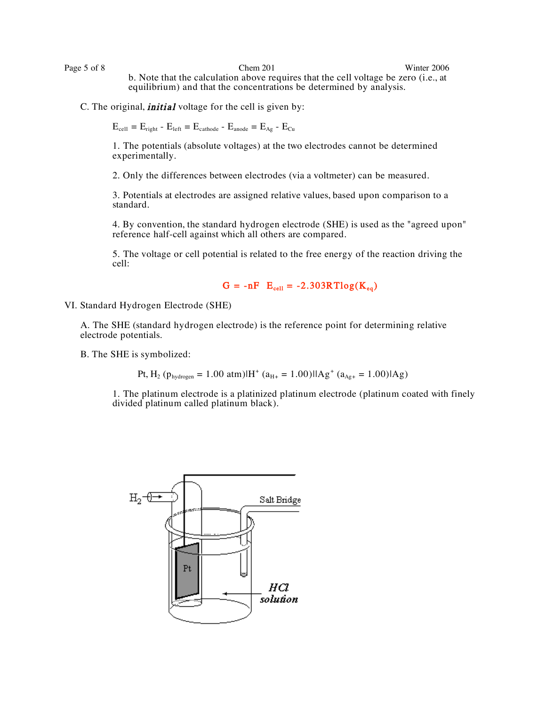Page 5 of 8 Chem 201 Chem 201 Winter 2006 b. Note that the calculation above requires that the cell voltage be zero (i.e., at equilibrium) and that the concentrations be determined by analysis.

C. The original, *initial* voltage for the cell is given by:

 $E_{cell} = E_{right} - E_{left} = E_{cathode} - E_{anode} = E_{Ag} - E_{Cu}$ 

1. The potentials (absolute voltages) at the two electrodes cannot be determined experimentally.

2. Only the differences between electrodes (via a voltmeter) can be measured.

3. Potentials at electrodes are assigned relative values, based upon comparison to a standard.

4. By convention, the standard hydrogen electrode (SHE) is used as the "agreed upon" reference half-cell against which all others are compared.

5. The voltage or cell potential is related to the free energy of the reaction driving the cell:

 $G = -nF$   $E_{cell} = -2.303RTlog(K_{eq})$ 

VI. Standard Hydrogen Electrode (SHE)

A. The SHE (standard hydrogen electrode) is the reference point for determining relative electrode potentials.

B. The SHE is symbolized:

Pt, H<sub>2</sub> (p<sub>hydrogen</sub> = 1.00 atm) $|H^+(a_{H^+} = 1.00)|Ag^+(a_{Ag^+} = 1.00)|Ag$ 

1. The platinum electrode is a platinized platinum electrode (platinum coated with finely divided platinum called platinum black).

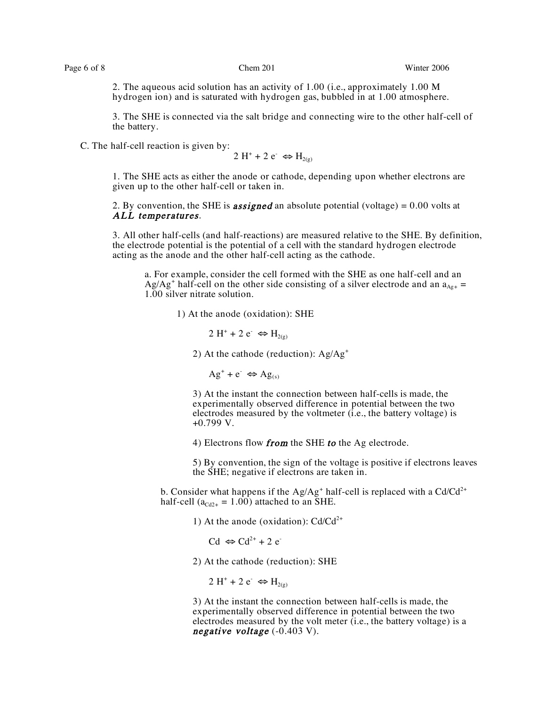2. The aqueous acid solution has an activity of 1.00 (i.e., approximately 1.00 M hydrogen ion) and is saturated with hydrogen gas, bubbled in at 1.00 atmosphere.

3. The SHE is connected via the salt bridge and connecting wire to the other half-cell of the battery.

C. The half-cell reaction is given by:

 $2 H^+ + 2 e^- \Leftrightarrow H_{2(g)}$ 

1. The SHE acts as either the anode or cathode, depending upon whether electrons are given up to the other half-cell or taken in.

2. By convention, the SHE is **assigned** an absolute potential (voltage) =  $0.00$  volts at ALL temperatures.

3. All other half-cells (and half-reactions) are measured relative to the SHE. By definition, the electrode potential is the potential of a cell with the standard hydrogen electrode acting as the anode and the other half-cell acting as the cathode.

a. For example, consider the cell formed with the SHE as one half-cell and an Ag/Ag<sup>+</sup> half-cell on the other side consisting of a silver electrode and an  $a_{Ag+}$  = 1.00 silver nitrate solution.

1) At the anode (oxidation): SHE

2 H<sup>+</sup> + 2 e<sup>-</sup>  $\Leftrightarrow$  H<sub>2(g)</sub>

2) At the cathode (reduction):  $Ag/Ag^{+}$ 

 $Ag^+ + e^- \Leftrightarrow Ag_{(s)}$ 

3) At the instant the connection between half-cells is made, the experimentally observed difference in potential between the two electrodes measured by the voltmeter (i.e., the battery voltage) is +0.799 V.

4) Electrons flow from the SHE to the Ag electrode.

5) By convention, the sign of the voltage is positive if electrons leaves the SHE; negative if electrons are taken in.

b. Consider what happens if the Ag/Ag<sup>+</sup> half-cell is replaced with a Cd/Cd<sup>2+</sup> half-cell ( $a_{Cd2+} = 1.00$ ) attached to an SHE.

1) At the anode (oxidation):  $Cd/Cd^{2+}$ 

 $Cd \Leftrightarrow Cd^{2+} + 2 e^{-}$ 

2) At the cathode (reduction): SHE

 $2 H^+ + 2 e^- \Leftrightarrow H_{2(p)}$ 

3) At the instant the connection between half-cells is made, the experimentally observed difference in potential between the two electrodes measured by the volt meter (i.e., the battery voltage) is a negative voltage  $(-0.403 V)$ .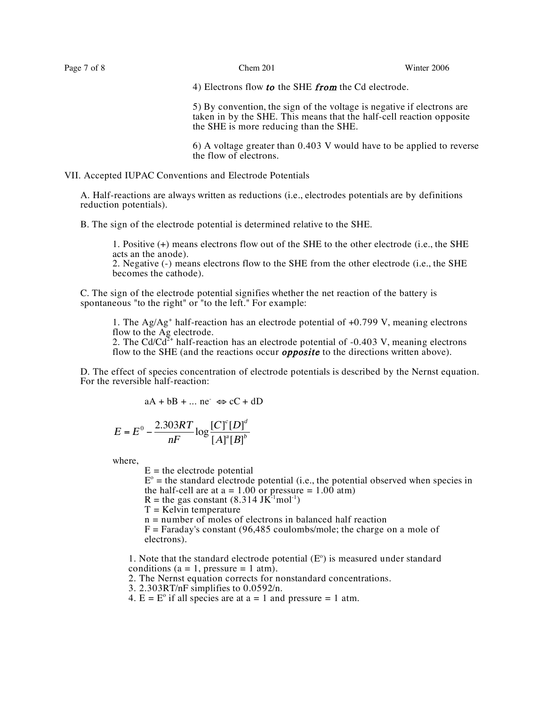4) Electrons flow to the SHE from the Cd electrode.

5) By convention, the sign of the voltage is negative if electrons are taken in by the SHE. This means that the half-cell reaction opposite the SHE is more reducing than the SHE.

6) A voltage greater than 0.403 V would have to be applied to reverse the flow of electrons.

VII. Accepted IUPAC Conventions and Electrode Potentials

A. Half-reactions are always written as reductions (i.e., electrodes potentials are by definitions reduction potentials).

B. The sign of the electrode potential is determined relative to the SHE.

1. Positive (+) means electrons flow out of the SHE to the other electrode (i.e., the SHE acts an the anode).

2. Negative (-) means electrons flow to the SHE from the other electrode (i.e., the SHE becomes the cathode).

C. The sign of the electrode potential signifies whether the net reaction of the battery is spontaneous "to the right" or "to the left." For example:

1. The  $Ag/Ag^+$  half-reaction has an electrode potential of  $+0.799$  V, meaning electrons flow to the Ag electrode.

2. The Cd/Cd<sup>2+</sup> half-reaction has an electrode potential of  $-0.403$  V, meaning electrons flow to the SHE (and the reactions occur *opposite* to the directions written above).

D. The effect of species concentration of electrode potentials is described by the Nernst equation. For the reversible half-reaction:

 $aA + bB + \dots$  ne  $\Leftrightarrow cC + dD$ 

$$
E = E^{0} - \frac{2.303RT}{nF} \log \frac{[C]^{c}[D]^{d}}{[A]^{a}[B]^{b}}
$$

where,

 $E =$  the electrode potential

 $E^{\circ}$  = the standard electrode potential (i.e., the potential observed when species in the half-cell are at  $a = 1.00$  or pressure  $= 1.00$  atm)

 $R =$  the gas constant (8.314 JK<sup>-1</sup>mol<sup>-1</sup>)

 $T =$  Kelvin temperature

n = number of moles of electrons in balanced half reaction

 $F = Faraday's constant (96,485 coulombs/mole; the charge on a mole of$ electrons).

1. Note that the standard electrode potential  $(E^{\circ})$  is measured under standard conditions ( $a = 1$ , pressure = 1 atm).

2. The Nernst equation corrects for nonstandard concentrations.

- 3. 2.303RT/nF simplifies to 0.0592/n.
- 4.  $E = E^{\circ}$  if all species are at a = 1 and pressure = 1 atm.